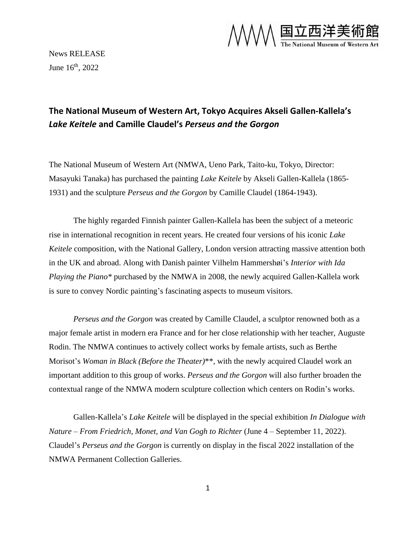

News RELEASE June  $16^{\text{th}}$ , 2022

# **The National Museum of Western Art, Tokyo Acquires Akseli Gallen-Kallela's**  *Lake Keitele* **and Camille Claudel's** *Perseus and the Gorgon*

The National Museum of Western Art (NMWA, Ueno Park, Taito-ku, Tokyo, Director: Masayuki Tanaka) has purchased the painting *Lake Keitele* by Akseli Gallen-Kallela (1865- 1931) and the sculpture *Perseus and the Gorgon* by Camille Claudel (1864-1943).

The highly regarded Finnish painter Gallen-Kallela has been the subject of a meteoric rise in international recognition in recent years. He created four versions of his iconic *Lake Keitele* composition, with the National Gallery, London version attracting massive attention both in the UK and abroad. Along with Danish painter Vilhelm Hammershøi's *Interior with Ida Playing the Piano\** purchased by the NMWA in 2008, the newly acquired Gallen-Kallela work is sure to convey Nordic painting's fascinating aspects to museum visitors.

*Perseus and the Gorgon* was created by Camille Claudel, a sculptor renowned both as a major female artist in modern era France and for her close relationship with her teacher, Auguste Rodin. The NMWA continues to actively collect works by female artists, such as Berthe Morisot's *Woman in Black (Before the Theater)*\*\*, with the newly acquired Claudel work an important addition to this group of works. *Perseus and the Gorgon* will also further broaden the contextual range of the NMWA modern sculpture collection which centers on Rodin's works.

Gallen-Kallela's *Lake Keitele* will be displayed in the special exhibition *In Dialogue with Nature – From Friedrich, Monet, and Van Gogh to Richter* (June 4 – September 11, 2022). Claudel's *Perseus and the Gorgon* is currently on display in the fiscal 2022 installation of the NMWA Permanent Collection Galleries.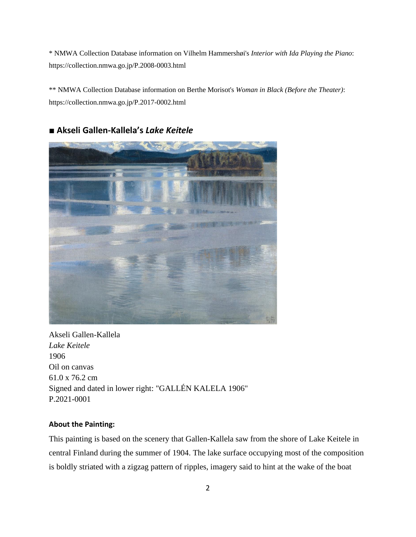\* NMWA Collection Database information on Vilhelm Hammershøi's *Interior with Ida Playing the Piano*: https://collection.nmwa.go.jp/P.2008-0003.html

\*\* NMWA Collection Database information on Berthe Morisot's *Woman in Black (Before the Theater)*: https://collection.nmwa.go.jp/P.2017-0002.html



# ■ **Akseli Gallen-Kallela's** *Lake Keitele*

Akseli Gallen-Kallela *Lake Keitele* 1906 Oil on canvas 61.0 x 76.2 cm Signed and dated in lower right: "GALLÉN KALELA 1906" P.2021-0001

## **About the Painting:**

This painting is based on the scenery that Gallen-Kallela saw from the shore of Lake Keitele in central Finland during the summer of 1904. The lake surface occupying most of the composition is boldly striated with a zigzag pattern of ripples, imagery said to hint at the wake of the boat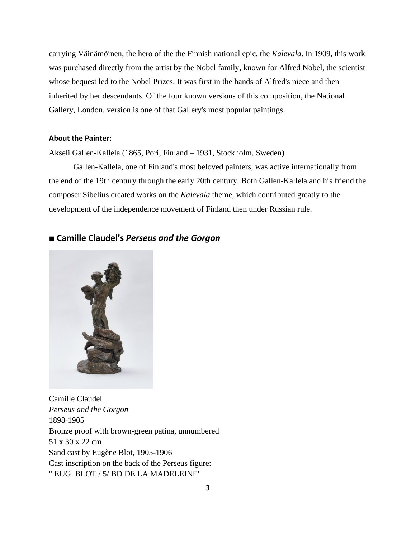carrying Väinämöinen, the hero of the the Finnish national epic, the *Kalevala*. In 1909, this work was purchased directly from the artist by the Nobel family, known for Alfred Nobel, the scientist whose bequest led to the Nobel Prizes. It was first in the hands of Alfred's niece and then inherited by her descendants. Of the four known versions of this composition, the National Gallery, London, version is one of that Gallery's most popular paintings.

### **About the Painter:**

Akseli Gallen-Kallela (1865, Pori, Finland – 1931, Stockholm, Sweden)

Gallen-Kallela, one of Finland's most beloved painters, was active internationally from the end of the 19th century through the early 20th century. Both Gallen-Kallela and his friend the composer Sibelius created works on the *Kalevala* theme, which contributed greatly to the development of the independence movement of Finland then under Russian rule.

# ■ **Camille Claudel's** *Perseus and the Gorgon*



Camille Claudel *Perseus and the Gorgon* 1898-1905 Bronze proof with brown-green patina, unnumbered 51 x 30 x 22 cm Sand cast by Eugène Blot, 1905-1906 Cast inscription on the back of the Perseus figure: " EUG. BLOT / 5/ BD DE LA MADELEINE"